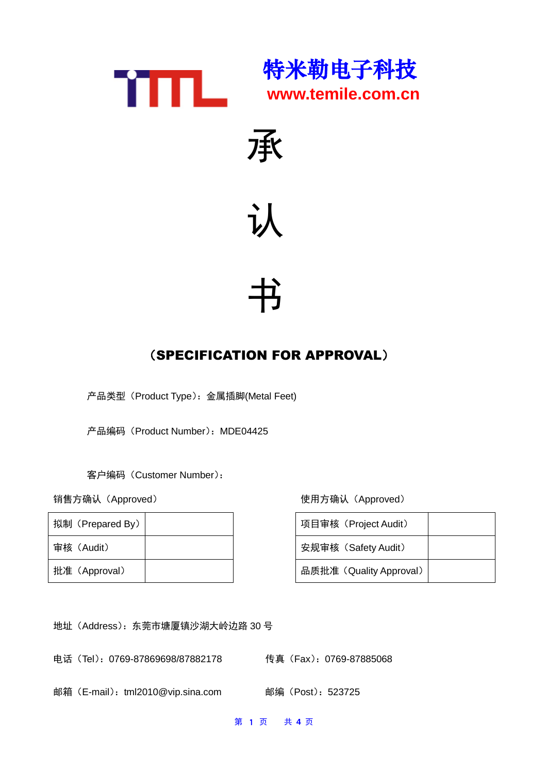







# (SPECIFICATION FOR APPROVAL)

产品类型(Product Type):金属插脚(Metal Feet)

产品编码 (Product Number): MDE04425

客户编码(Customer Number):

| 拟制 (Prepared By) |  | 项目审核 (Project Audit)    |
|------------------|--|-------------------------|
| 审核(Audit)        |  | 安规审核 (Safety Audit)     |
| 批准 (Approval)    |  | 品质批准 (Quality Approval) |

销售方确认(Approved) 使用方确认(Approved)

| 项目审核 (Project Audit)    |  |
|-------------------------|--|
| 安规审核 (Safety Audit)     |  |
| 品质批准 (Quality Approval) |  |

地址(Address):东莞市塘厦镇沙湖大岭边路 30 号

电话 (Tel): 0769-87869698/87882178 传真 (Fax): 0769-87885068

邮箱 (E-mail): tml2010@vip.sina.com 邮编 (Post): 523725

第 1 页 共 **4** 页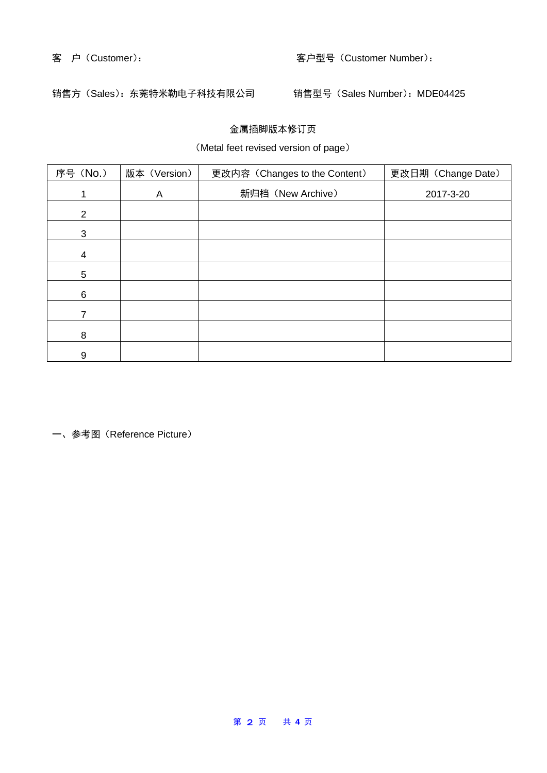### 客 户(Customer): 客户型号(Customer Number):

# 销售方(Sales): 东莞特米勒电子科技有限公司 销售型号(Sales Number): MDE04425

### 金属插脚版本修订页

# (Metal feet revised version of page)

| 序号 (No.)       | 版本 (Version) | 更改内容 (Changes to the Content) | 更改日期 (Change Date) |
|----------------|--------------|-------------------------------|--------------------|
|                | A            | 新归档 (New Archive)             | 2017-3-20          |
| $\overline{2}$ |              |                               |                    |
| 3              |              |                               |                    |
| 4              |              |                               |                    |
| 5              |              |                               |                    |
| 6              |              |                               |                    |
|                |              |                               |                    |
| 8              |              |                               |                    |
| 9              |              |                               |                    |

一、参考图(Reference Picture)

#### 第 2 页 共 **4** 页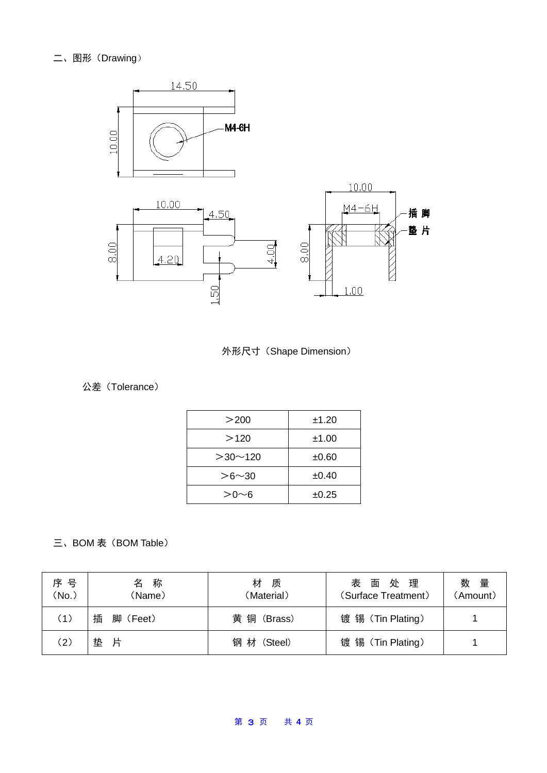



# 公差(Tolerance)

| >200          | ±1.20 |
|---------------|-------|
| >120          | ±1.00 |
| $>30$ ~ 120   | ±0.60 |
| $> 6 \sim 30$ | ±0.40 |
| >Ո∼ճ          | ±0.25 |

# 三、BOM 表 (BOM Table)

| 序 号<br>(No.)      | 称<br>名<br>(Name) | 材<br>质<br>(Material) | 处 理<br>表面<br>(Surface Treatment) | 数量<br>(Amount) |
|-------------------|------------------|----------------------|----------------------------------|----------------|
| (1)               | 插<br>脚 (Feet)    | 黄 铜 (Brass)          | 镀 锡 (Tin Plating)                |                |
| $\left( 2\right)$ | 垫<br>片           | 钢 材 (Steel)          | 镀 锡 (Tin Plating)                |                |

#### 第 3 页 共 **4** 页